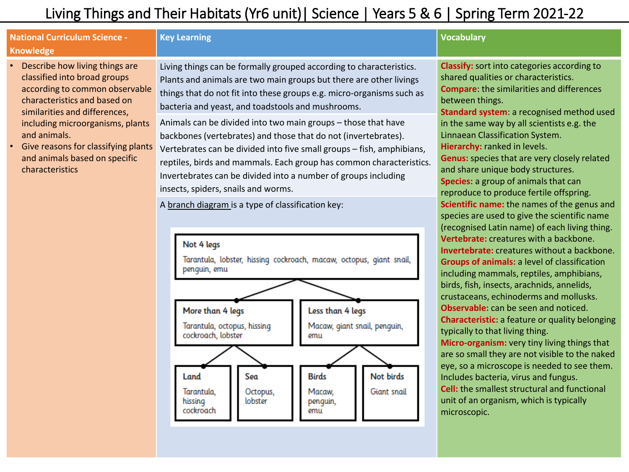# Living Things and Their Habitats (Yr6 unit)| Science | Years 5 & 6 | Spring Term 2021-22

# **National Curriculum Science - Knowledge**

- Describe how living things are classified into broad groups according to common observable characteristics and based on similarities and differences, including microorganisms, plants and animals.
- Give reasons for classifying plants and animals based on specific characteristics

### **Key Learning Vocabulary**

Living things can be formally grouped according to characteristics. Plants and animals are two main groups but there are other livings things that do not fit into these groups e.g. micro-organisms such as bacteria and yeast, and toadstools and mushrooms.

Animals can be divided into two main groups – those that have backbones (vertebrates) and those that do not (invertebrates). Vertebrates can be divided into five small groups – fish, amphibians, reptiles, birds and mammals. Each group has common characteristics. Invertebrates can be divided into a number of groups including insects, spiders, snails and worms.

A branch diagram is a type of classification key:



**Classify:** sort into categories according to shared qualities or characteristics. **Compare**: the similarities and differences between things. **Standard system**: a recognised method used in the same way by all scientists e.g. the Linnaean Classification System. **Hierarchy:** ranked in levels. **Genus:** species that are very closely related and share unique body structures. **Species:** a group of animals that can reproduce to produce fertile offspring. **Scientific name:** the names of the genus and species are used to give the scientific name (recognised Latin name) of each living thing. **Vertebrate:** creatures with a backbone. **Invertebrate:** creatures without a backbone. **Groups of animals:** a level of classification including mammals, reptiles, amphibians, birds, fish, insects, arachnids, annelids, crustaceans, echinoderms and mollusks. **Observable:** can be seen and noticed. **Characteristic:** a feature or quality belonging typically to that living thing. **Micro-organism:** very tiny living things that are so small they are not visible to the naked eye, so a microscope is needed to see them. Includes bacteria, virus and fungus. **Cell:** the smallest structural and functional unit of an organism, which is typically microscopic.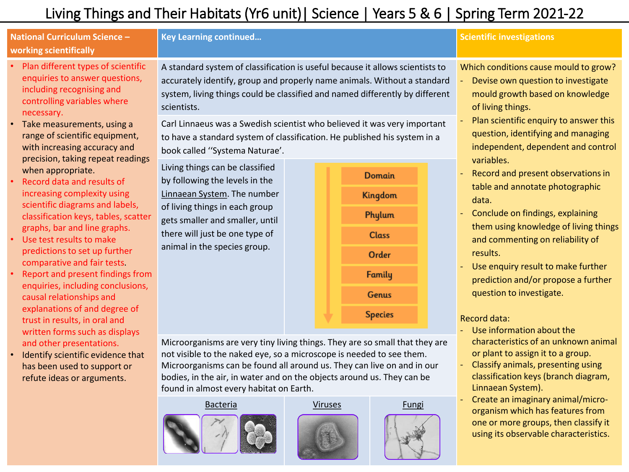# Living Things and Their Habitats (Yr6 unit)| Science | Years 5 & 6 | Spring Term 2021-22

# **National Curriculum Science – working scientifically**

- Plan different types of scientific enquiries to answer questions, including recognising and controlling variables where necessary.
- Take measurements, using a range of scientific equipment, with increasing accuracy and precision, taking repeat readings when appropriate.
- Record data and results of increasing complexity using scientific diagrams and labels, classification keys, tables, scatter graphs, bar and line graphs.
- Use test results to make predictions to set up further comparative and fair tests.
- Report and present findings from enquiries, including conclusions, causal relationships and explanations of and degree of trust in results, in oral and written forms such as displays and other presentations.
- Identify scientific evidence that has been used to support or refute ideas or arguments.

# **Key Learning continued… Scientific investigations**

A standard system of classification is useful because it allows scientists to accurately identify, group and properly name animals. Without a standard system, living things could be classified and named differently by different scientists.

Carl Linnaeus was a Swedish scientist who believed it was very important to have a standard system of classification. He published his system in a book called ''Systema Naturae'.

Living things can be classified by following the levels in the Linnaean System. The number of living things in each group gets smaller and smaller, until there will just be one type of animal in the species group.



Microorganisms are very tiny living things. They are so small that they are not visible to the naked eye, so a microscope is needed to see them. Microorganisms can be found all around us. They can live on and in our bodies, in the air, in water and on the objects around us. They can be found in almost every habitat on Earth.





Which conditions cause mould to grow?

- Devise own question to investigate mould growth based on knowledge of living things.
- Plan scientific enquiry to answer this question, identifying and managing independent, dependent and control variables.
- Record and present observations in table and annotate photographic data.
- Conclude on findings, explaining them using knowledge of living things and commenting on reliability of results.
- Use enquiry result to make further prediction and/or propose a further question to investigate.

### Record data:

- Use information about the characteristics of an unknown animal or plant to assign it to a group.
- Classify animals, presenting using classification keys (branch diagram, Linnaean System).
- Create an imaginary animal/microorganism which has features from one or more groups, then classify it using its observable characteristics.